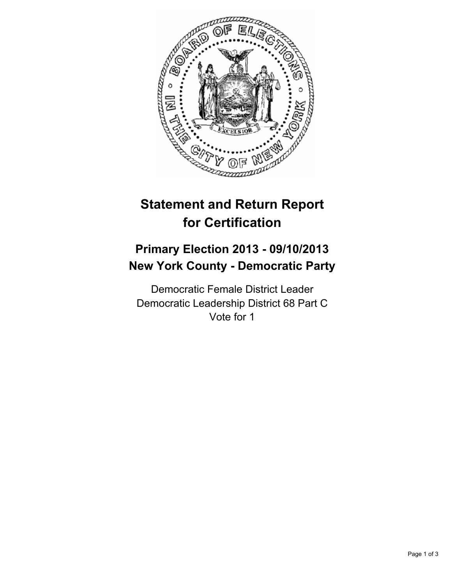

# **Statement and Return Report for Certification**

## **Primary Election 2013 - 09/10/2013 New York County - Democratic Party**

Democratic Female District Leader Democratic Leadership District 68 Part C Vote for 1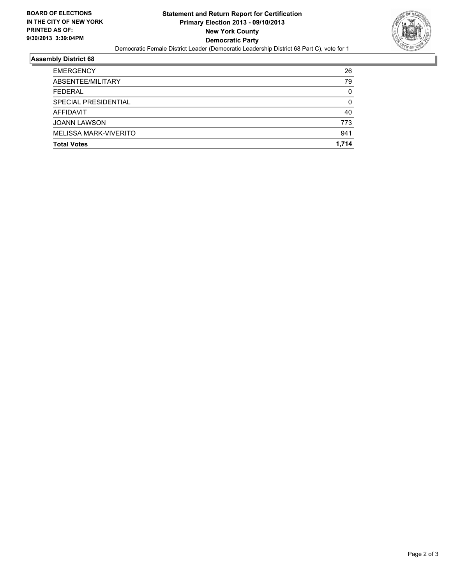

### **Assembly District 68**

| <b>Total Votes</b>    | 1.714 |
|-----------------------|-------|
| MELISSA MARK-VIVERITO | 941   |
| <b>JOANN LAWSON</b>   | 773   |
| AFFIDAVIT             | 40    |
| SPECIAL PRESIDENTIAL  | 0     |
| <b>FEDERAL</b>        | 0     |
| ABSENTEE/MILITARY     | 79    |
| <b>EMERGENCY</b>      | 26    |